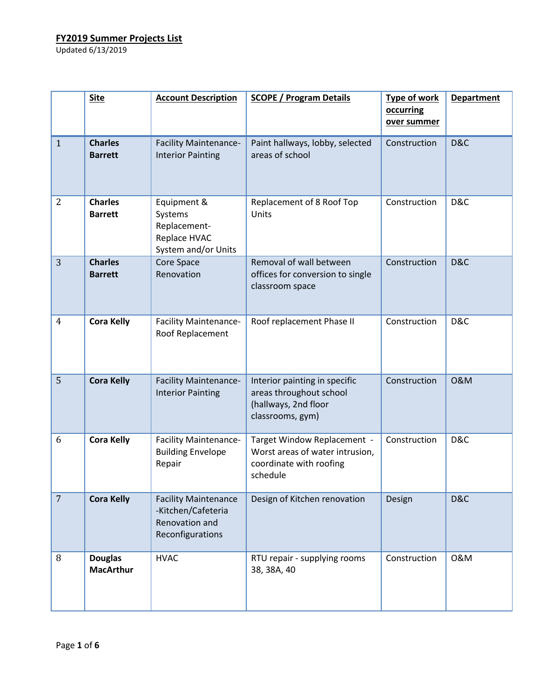|                | <b>Site</b>                        | <b>Account Description</b>                                                              | <b>SCOPE / Program Details</b>                                                                        | <b>Type of work</b><br>occurring<br>over summer | <b>Department</b> |
|----------------|------------------------------------|-----------------------------------------------------------------------------------------|-------------------------------------------------------------------------------------------------------|-------------------------------------------------|-------------------|
| $\mathbf{1}$   | <b>Charles</b><br><b>Barrett</b>   | <b>Facility Maintenance-</b><br><b>Interior Painting</b>                                | Paint hallways, lobby, selected<br>areas of school                                                    | Construction                                    | D&C               |
| $\overline{2}$ | <b>Charles</b><br><b>Barrett</b>   | Equipment &<br>Systems<br>Replacement-<br>Replace HVAC<br>System and/or Units           | Replacement of 8 Roof Top<br>Units                                                                    | Construction                                    | D&C               |
| 3              | <b>Charles</b><br><b>Barrett</b>   | Core Space<br>Renovation                                                                | Removal of wall between<br>offices for conversion to single<br>classroom space                        | Construction                                    | D&C               |
| $\overline{4}$ | <b>Cora Kelly</b>                  | <b>Facility Maintenance-</b><br>Roof Replacement                                        | Roof replacement Phase II                                                                             | Construction                                    | D&C               |
| 5              | <b>Cora Kelly</b>                  | <b>Facility Maintenance-</b><br><b>Interior Painting</b>                                | Interior painting in specific<br>areas throughout school<br>(hallways, 2nd floor<br>classrooms, gym)  | Construction                                    | 0&M               |
| 6              | <b>Cora Kelly</b>                  | <b>Facility Maintenance-</b><br><b>Building Envelope</b><br>Repair                      | Target Window Replacement -<br>Worst areas of water intrusion,<br>coordinate with roofing<br>schedule | Construction                                    | D&C               |
| $\overline{7}$ | <b>Cora Kelly</b>                  | <b>Facility Maintenance</b><br>-Kitchen/Cafeteria<br>Renovation and<br>Reconfigurations | Design of Kitchen renovation                                                                          | Design                                          | D&C               |
| 8              | <b>Douglas</b><br><b>MacArthur</b> | <b>HVAC</b>                                                                             | RTU repair - supplying rooms<br>38, 38A, 40                                                           | Construction                                    | 0&M               |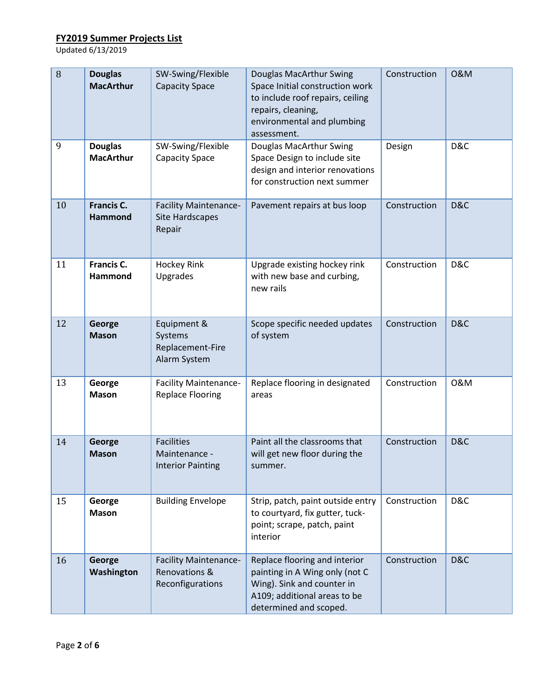| 8  | <b>Douglas</b><br><b>MacArthur</b>  | SW-Swing/Flexible<br><b>Capacity Space</b>                        | Douglas MacArthur Swing<br>Space Initial construction work<br>to include roof repairs, ceiling<br>repairs, cleaning,<br>environmental and plumbing<br>assessment. | Construction | <b>0&amp;M</b> |
|----|-------------------------------------|-------------------------------------------------------------------|-------------------------------------------------------------------------------------------------------------------------------------------------------------------|--------------|----------------|
| 9  | <b>Douglas</b><br><b>MacArthur</b>  | SW-Swing/Flexible<br><b>Capacity Space</b>                        | Douglas MacArthur Swing<br>Space Design to include site<br>design and interior renovations<br>for construction next summer                                        | Design       | D&C            |
| 10 | <b>Francis C.</b><br><b>Hammond</b> | <b>Facility Maintenance-</b><br><b>Site Hardscapes</b><br>Repair  | Pavement repairs at bus loop                                                                                                                                      | Construction | D&C            |
| 11 | Francis C.<br>Hammond               | <b>Hockey Rink</b><br>Upgrades                                    | Upgrade existing hockey rink<br>with new base and curbing,<br>new rails                                                                                           | Construction | D&C            |
| 12 | George<br><b>Mason</b>              | Equipment &<br>Systems<br>Replacement-Fire<br>Alarm System        | Scope specific needed updates<br>of system                                                                                                                        | Construction | D&C            |
| 13 | George<br><b>Mason</b>              | <b>Facility Maintenance-</b><br><b>Replace Flooring</b>           | Replace flooring in designated<br>areas                                                                                                                           | Construction | 0&M            |
| 14 | George<br><b>Mason</b>              | <b>Facilities</b><br>Maintenance -<br><b>Interior Painting</b>    | Paint all the classrooms that<br>will get new floor during the<br>summer.                                                                                         | Construction | D&C            |
| 15 | George<br><b>Mason</b>              | <b>Building Envelope</b>                                          | Strip, patch, paint outside entry<br>to courtyard, fix gutter, tuck-<br>point; scrape, patch, paint<br>interior                                                   | Construction | D&C            |
| 16 | George<br>Washington                | <b>Facility Maintenance-</b><br>Renovations &<br>Reconfigurations | Replace flooring and interior<br>painting in A Wing only (not C<br>Wing). Sink and counter in<br>A109; additional areas to be<br>determined and scoped.           | Construction | D&C            |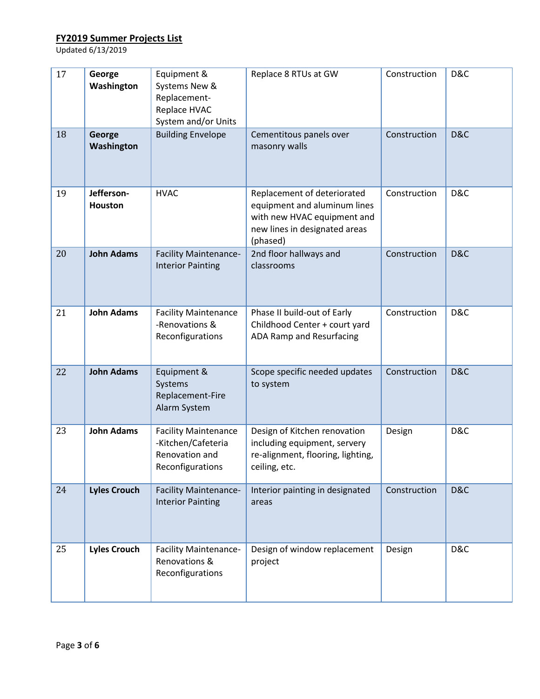| 17 | George<br>Washington         | Equipment &<br>Systems New &<br>Replacement-<br>Replace HVAC<br>System and/or Units     | Replace 8 RTUs at GW                                                                                                                    | Construction | D&C |
|----|------------------------------|-----------------------------------------------------------------------------------------|-----------------------------------------------------------------------------------------------------------------------------------------|--------------|-----|
| 18 | George<br>Washington         | <b>Building Envelope</b>                                                                | Cementitous panels over<br>masonry walls                                                                                                | Construction | D&C |
| 19 | Jefferson-<br><b>Houston</b> | <b>HVAC</b>                                                                             | Replacement of deteriorated<br>equipment and aluminum lines<br>with new HVAC equipment and<br>new lines in designated areas<br>(phased) | Construction | D&C |
| 20 | <b>John Adams</b>            | <b>Facility Maintenance-</b><br><b>Interior Painting</b>                                | 2nd floor hallways and<br>classrooms                                                                                                    | Construction | D&C |
| 21 | <b>John Adams</b>            | <b>Facility Maintenance</b><br>-Renovations &<br>Reconfigurations                       | Phase II build-out of Early<br>Childhood Center + court yard<br>ADA Ramp and Resurfacing                                                | Construction | D&C |
| 22 | <b>John Adams</b>            | Equipment &<br>Systems<br>Replacement-Fire<br>Alarm System                              | Scope specific needed updates<br>to system                                                                                              | Construction | D&C |
| 23 | <b>John Adams</b>            | <b>Facility Maintenance</b><br>-Kitchen/Cafeteria<br>Renovation and<br>Reconfigurations | Design of Kitchen renovation<br>including equipment, servery<br>re-alignment, flooring, lighting,<br>ceiling, etc.                      | Design       | D&C |
| 24 | <b>Lyles Crouch</b>          | <b>Facility Maintenance-</b><br><b>Interior Painting</b>                                | Interior painting in designated<br>areas                                                                                                | Construction | D&C |
| 25 | <b>Lyles Crouch</b>          | <b>Facility Maintenance-</b><br>Renovations &<br>Reconfigurations                       | Design of window replacement<br>project                                                                                                 | Design       | D&C |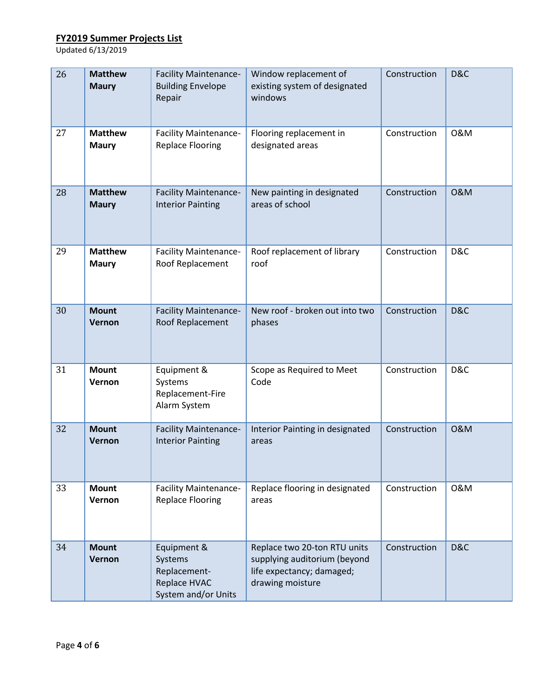| 26 | <b>Matthew</b><br><b>Maury</b> | <b>Facility Maintenance-</b><br><b>Building Envelope</b><br>Repair            | Window replacement of<br>existing system of designated<br>windows                                             | Construction | D&C            |
|----|--------------------------------|-------------------------------------------------------------------------------|---------------------------------------------------------------------------------------------------------------|--------------|----------------|
| 27 | <b>Matthew</b><br><b>Maury</b> | <b>Facility Maintenance-</b><br><b>Replace Flooring</b>                       | Flooring replacement in<br>designated areas                                                                   | Construction | 0&M            |
| 28 | <b>Matthew</b><br><b>Maury</b> | <b>Facility Maintenance-</b><br><b>Interior Painting</b>                      | New painting in designated<br>areas of school                                                                 | Construction | <b>0&amp;M</b> |
| 29 | <b>Matthew</b><br><b>Maury</b> | <b>Facility Maintenance-</b><br>Roof Replacement                              | Roof replacement of library<br>roof                                                                           | Construction | D&C            |
| 30 | <b>Mount</b><br>Vernon         | <b>Facility Maintenance-</b><br>Roof Replacement                              | New roof - broken out into two<br>phases                                                                      | Construction | D&C            |
| 31 | <b>Mount</b><br>Vernon         | Equipment &<br>Systems<br>Replacement-Fire<br>Alarm System                    | Scope as Required to Meet<br>Code                                                                             | Construction | D&C            |
| 32 | <b>Mount</b><br>Vernon         | <b>Facility Maintenance-</b><br><b>Interior Painting</b>                      | Interior Painting in designated<br>areas                                                                      | Construction | <b>O&amp;M</b> |
| 33 | <b>Mount</b><br>Vernon         | <b>Facility Maintenance-</b><br><b>Replace Flooring</b>                       | Replace flooring in designated<br>areas                                                                       | Construction | 0&M            |
| 34 | <b>Mount</b><br>Vernon         | Equipment &<br>Systems<br>Replacement-<br>Replace HVAC<br>System and/or Units | Replace two 20-ton RTU units<br>supplying auditorium (beyond<br>life expectancy; damaged;<br>drawing moisture | Construction | D&C            |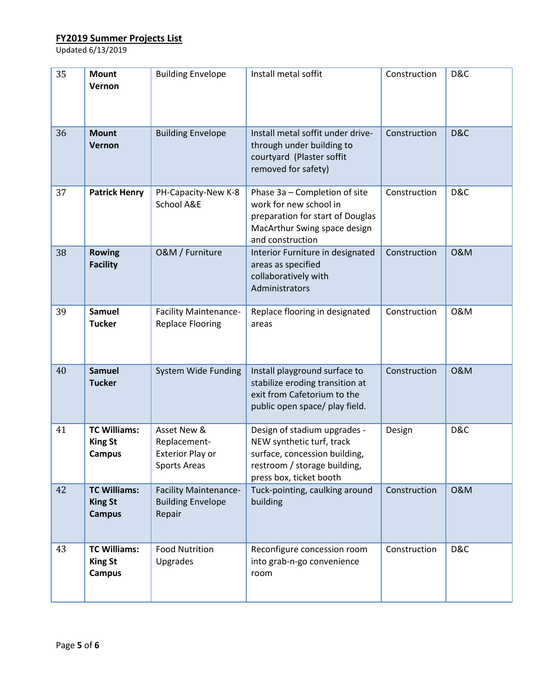| 35 | <b>Mount</b><br>Vernon                                 | <b>Building Envelope</b>                                               | Install metal soffit                                                                                                                                  | Construction | D&C            |
|----|--------------------------------------------------------|------------------------------------------------------------------------|-------------------------------------------------------------------------------------------------------------------------------------------------------|--------------|----------------|
| 36 | <b>Mount</b><br>Vernon                                 | <b>Building Envelope</b>                                               | Install metal soffit under drive-<br>through under building to<br>courtyard (Plaster soffit<br>removed for safety)                                    | Construction | D&C            |
| 37 | <b>Patrick Henry</b>                                   | PH-Capacity-New K-8<br>School A&E                                      | Phase 3a - Completion of site<br>work for new school in<br>preparation for start of Douglas<br>MacArthur Swing space design<br>and construction       | Construction | D&C            |
| 38 | <b>Rowing</b><br><b>Facility</b>                       | O&M / Furniture                                                        | Interior Furniture in designated<br>areas as specified<br>collaboratively with<br>Administrators                                                      | Construction | <b>0&amp;M</b> |
| 39 | <b>Samuel</b><br><b>Tucker</b>                         | <b>Facility Maintenance-</b><br><b>Replace Flooring</b>                | Replace flooring in designated<br>areas                                                                                                               | Construction | 0&M            |
| 40 | <b>Samuel</b><br><b>Tucker</b>                         | System Wide Funding                                                    | Install playground surface to<br>stabilize eroding transition at<br>exit from Cafetorium to the<br>public open space/ play field.                     | Construction | <b>0&amp;M</b> |
| 41 | <b>TC Williams:</b><br><b>King St</b><br><b>Campus</b> | Asset New &<br>Replacement-<br><b>Exterior Play or</b><br>Sports Areas | Design of stadium upgrades -<br>NEW synthetic turf, track<br>surface, concession building,<br>restroom / storage building,<br>press box, ticket booth | Design       | D&C            |
| 42 | <b>TC Williams:</b><br><b>King St</b><br><b>Campus</b> | <b>Facility Maintenance-</b><br><b>Building Envelope</b><br>Repair     | Tuck-pointing, caulking around<br>building                                                                                                            | Construction | <b>0&amp;M</b> |
| 43 | <b>TC Williams:</b><br><b>King St</b><br><b>Campus</b> | <b>Food Nutrition</b><br>Upgrades                                      | Reconfigure concession room<br>into grab-n-go convenience<br>room                                                                                     | Construction | D&C            |